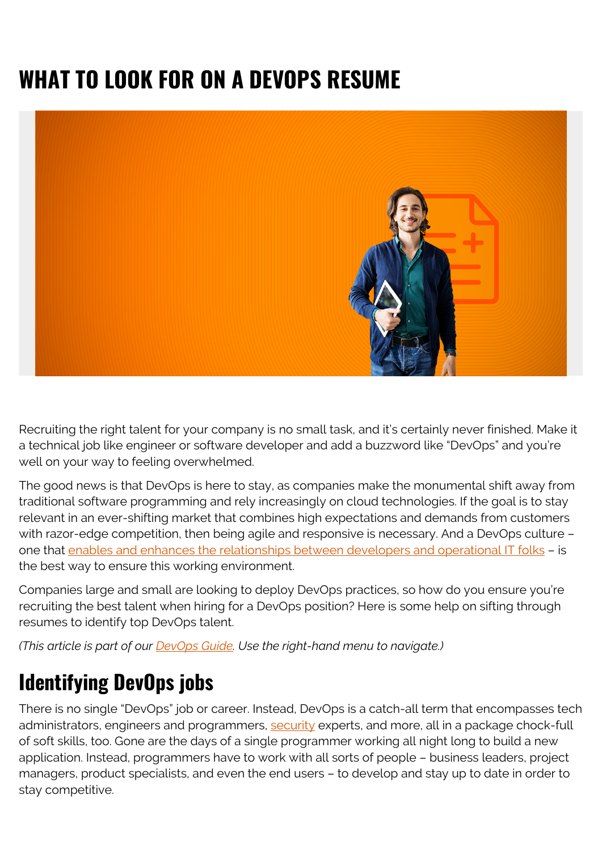## **WHAT TO LOOK FOR ON A DEVOPS RESUME**



Recruiting the right talent for your company is no small task, and it's certainly never finished. Make it a technical job like engineer or software developer and add a buzzword like "DevOps" and you're well on your way to feeling overwhelmed.

The good news is that DevOps is here to stay, as companies make the monumental shift away from traditional software programming and rely increasingly on cloud technologies. If the goal is to stay relevant in an ever-shifting market that combines high expectations and demands from customers with razor-edge competition, then being agile and responsive is necessary. And a DevOps culture – one that [enables and enhances the relationships between developers and operational IT folks](https://www.forbes.com/sites/forbestechcouncil/2019/01/15/five-things-to-look-for-on-a-devops-resume/) – is the best way to ensure this working environment.

Companies large and small are looking to deploy DevOps practices, so how do you ensure you're recruiting the best talent when hiring for a DevOps position? Here is some help on sifting through resumes to identify top DevOps talent.

*(This article is part of our [DevOps Guide](https://blogs.bmc.com/blogs/devops-basics-introduction/). Use the right-hand menu to navigate.)*

## **Identifying DevOps jobs**

There is no single "DevOps" job or career. Instead, DevOps is a catch-all term that encompasses tech administrators, engineers and programmers, [security](https://blogs.bmc.com/blogs/security-vulnerability-vs-threat-vs-risk-whats-difference/) experts, and more, all in a package chock-full of soft skills, too. Gone are the days of a single programmer working all night long to build a new application. Instead, programmers have to work with all sorts of people – business leaders, project managers, product specialists, and even the end users – to develop and stay up to date in order to stay competitive.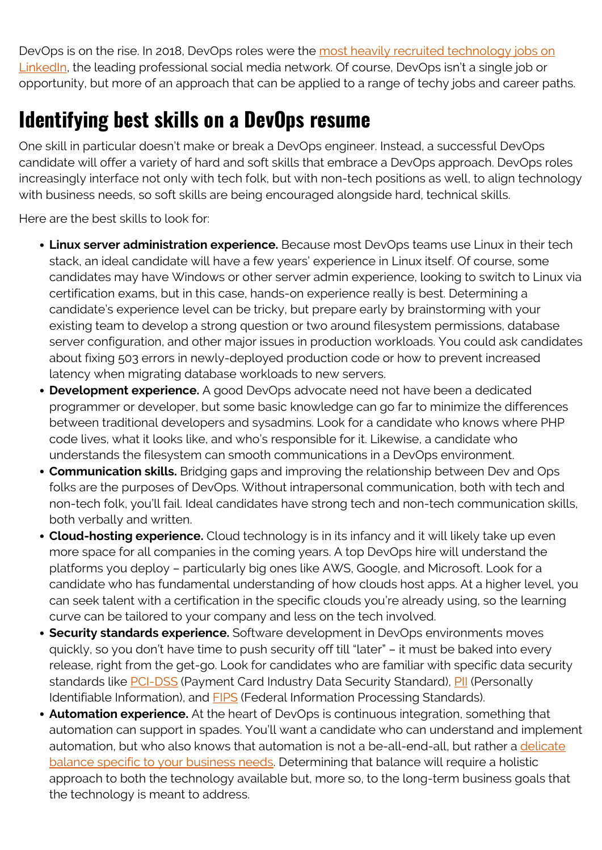DevOps is on the rise. In 2018, DevOps roles were the [most heavily recruited technology jobs on](https:/business.linkedin.com/content/dam/me/business/en-us/talent-solutions/cx/2018/pdf/33-most-recruited-jobs.pdf) [LinkedIn](https:/business.linkedin.com/content/dam/me/business/en-us/talent-solutions/cx/2018/pdf/33-most-recruited-jobs.pdf), the leading professional social media network. Of course, DevOps isn't a single job or opportunity, but more of an approach that can be applied to a range of techy jobs and career paths.

## **Identifying best skills on a DevOps resume**

One skill in particular doesn't make or break a DevOps engineer. Instead, a successful DevOps candidate will offer a variety of hard and soft skills that embrace a DevOps approach. DevOps roles increasingly interface not only with tech folk, but with non-tech positions as well, to align technology with business needs, so soft skills are being encouraged alongside hard, technical skills.

Here are the best skills to look for:

- **Linux server administration experience.** Because most DevOps teams use Linux in their tech stack, an ideal candidate will have a few years' experience in Linux itself. Of course, some candidates may have Windows or other server admin experience, looking to switch to Linux via certification exams, but in this case, hands-on experience really is best. Determining a candidate's experience level can be tricky, but prepare early by brainstorming with your existing team to develop a strong question or two around filesystem permissions, database server configuration, and other major issues in production workloads. You could ask candidates about fixing 503 errors in newly-deployed production code or how to prevent increased latency when migrating database workloads to new servers.
- **Development experience.** A good DevOps advocate need not have been a dedicated programmer or developer, but some basic knowledge can go far to minimize the differences between traditional developers and sysadmins. Look for a candidate who knows where PHP code lives, what it looks like, and who's responsible for it. Likewise, a candidate who understands the filesystem can smooth communications in a DevOps environment.
- **Communication skills.** Bridging gaps and improving the relationship between Dev and Ops folks are the purposes of DevOps. Without intrapersonal communication, both with tech and non-tech folk, you'll fail. Ideal candidates have strong tech and non-tech communication skills, both verbally and written.
- **Cloud-hosting experience.** Cloud technology is in its infancy and it will likely take up even more space for all companies in the coming years. A top DevOps hire will understand the platforms you deploy – particularly big ones like AWS, Google, and Microsoft. Look for a candidate who has fundamental understanding of how clouds host apps. At a higher level, you can seek talent with a certification in the specific clouds you're already using, so the learning curve can be tailored to your company and less on the tech involved.
- **Security standards experience.** Software development in DevOps environments moves quickly, so you don't have time to push security off till "later" – it must be baked into every release, right from the get-go. Look for candidates who are familiar with specific data security standards like [PCI-DSS](https://www.pcisecuritystandards.org/pci_security/) (Payment Card Industry Data Security Standard), [PII](https://www.gsa.gov/reference/gsa-privacy-program/rules-and-policies-protecting-pii-privacy-act) (Personally Identifiable Information), and **FIPS** (Federal Information Processing Standards).
- **Automation experience.** At the heart of DevOps is continuous integration, something that automation can support in spades. You'll want a candidate who can understand and implement automation, but who also knows that automation is not a be-all-end-all, but rather a [delicate](https://techbeacon.com/devops/devops-automation-best-practices-how-much-too-much) [balance specific to your business needs](https://techbeacon.com/devops/devops-automation-best-practices-how-much-too-much). Determining that balance will require a holistic approach to both the technology available but, more so, to the long-term business goals that the technology is meant to address.